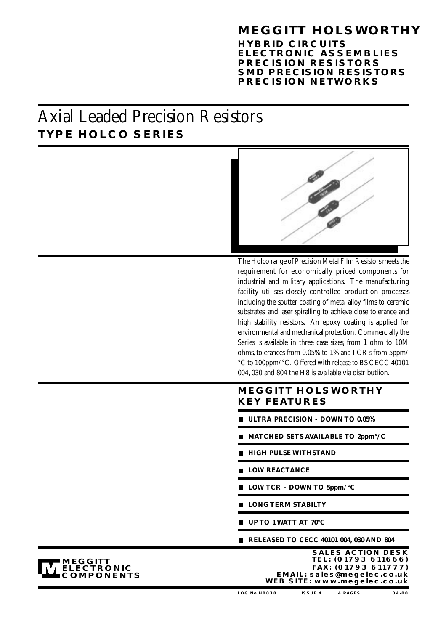## **MEGGITT HOLSWORTHY**

**HYBRID CIRCUITS ELECTRONIC ASSEMBLIES PRECISION RESISTORS SMD PRECISION RESISTORS PRECISION NETWORKS**

# **TYPE HOLCO SERIES** Axial Leaded Precision Resistors



The Holco range of Precision Metal Film Resistors meets the requirement for economically priced components for industrial and military applications. The manufacturing facility utilises closely controlled production processes including the sputter coating of metal alloy films to ceramic substrates, and laser spiralling to achieve close tolerance and high stability resistors. An epoxy coating is applied for environmental and mechanical protection. Commercially the Series is available in three case sizes, from 1 ohm to 10M ohms, tolerances from 0.05% to 1% and TCR's from 5ppm/ °C to 100ppm/°C. Offered with release to BS CECC 40101 004, 030 and 804 the H8 is available via distributiion.

### **MEGGITT HOLSWORTHY KEY FEATURES**

- **ULTRA PRECISION DOWN TO 0.05%**
- **MATCHED SETS AVAILABLE TO 2ppm°/C**
- **HIGH PULSE WITHSTAND**
- **LOW REACTANCE**
- **LOW TCR DOWN TO 5ppm/°C**
- **LONG TERM STABILTY**
- **UP TO 1 WATT AT 70°C**
- **RELEASED TO CECC 40101 004, 030 AND 804**



**SALES ACTION DESK FAX: (01793 611777) TEL: (01793 611666) EMAIL: sales@megelec.co.uk WEB SITE: www.megelec.co.uk**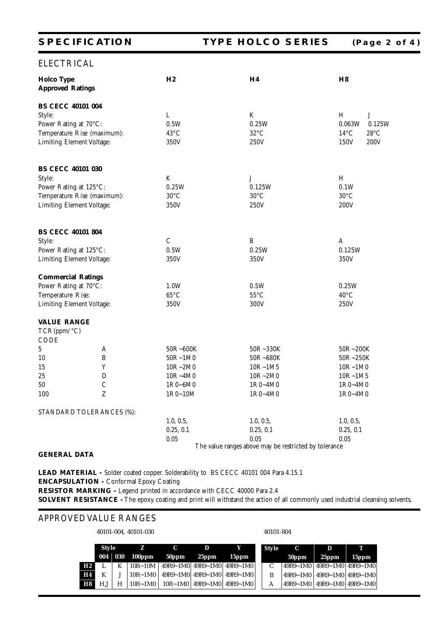| <b>SPECIFICATION</b>                         |                | <b>TYPE HOLCO SERIES</b>                              | (Page 2 of 4)                    |
|----------------------------------------------|----------------|-------------------------------------------------------|----------------------------------|
| <b>ELECTRICAL</b>                            |                |                                                       |                                  |
| <b>Holco Type</b><br><b>Approved Ratings</b> | H2             | H <sub>4</sub>                                        | H <sub>8</sub>                   |
| <b>BS CECC 40101 004</b>                     |                |                                                       |                                  |
| Style:                                       | L              | K                                                     | H<br>J                           |
| Power Rating at 70°C:                        | 0.5W           | 0.25W                                                 | 0.063W<br>0.125W                 |
| Temperature Rise (maximum):                  | $43^{\circ}$ C | $32^{\circ}$ C                                        | $14^{\circ}$ C<br>$28^{\circ}$ C |
| Limiting Element Voltage:                    | 350V           | 250V                                                  | 150V<br>200V                     |
| <b>BS CECC 40101 030</b>                     |                |                                                       |                                  |
| Style:                                       | K              | J                                                     | H                                |
| Power Rating at 125°C:                       | 0.25W          | 0.125W                                                | 0.1W                             |
| Temperature Rise (maximum):                  | $30^{\circ}$ C | $30^{\circ}$ C                                        | $30^{\circ} \text{C}$            |
| Limiting Element Voltage:                    | 350V           | 250V                                                  | 200V                             |
| <b>BS CECC 40101 804</b>                     |                |                                                       |                                  |
| Style:                                       | $\cal C$       | B                                                     | A                                |
| Power Rating at 125°C:                       | 0.5W           | 0.25W                                                 | 0.125W                           |
| Limiting Element Voltage:                    | 350V           | 350V                                                  | 350V                             |
| <b>Commercial Ratings</b>                    |                |                                                       |                                  |
| Power Rating at 70°C:                        | 1.0W           | 0.5W                                                  | 0.25W                            |
| Temperature Rise:                            | $65^{\circ}$ C | $55^{\circ}$ C                                        | $40^{\circ}$ C                   |
| Limiting Element Voltage:                    | 350V           | 300V                                                  | 250V                             |
| <b>VALUE RANGE</b><br>TCR(ppm/°C)<br>CODE    |                |                                                       |                                  |
| 5<br>A                                       | 50R~600K       | 50R~330K                                              | 50R~200K                         |
| 10<br>$\, {\bf B}$                           | $50R - 1M0$    | 50R~680K                                              | 50R~250K                         |
| 15<br>Y                                      | $10R - 2M0$    | $10R - 1M5$                                           | $10R - 1M0$                      |
| 25<br>D                                      | $10R - 4M0$    | $10R - 2M0$                                           | $10R - 1M5$                      |
| 50<br>$\cal C$                               | $1R0 - 6M0$    | $1R0 - 4M0$                                           | $1R0 - 4M0$                      |
| Z<br>100                                     | $1R0-10M$      | $1R0 - 4M0$                                           | $1R0 - 4M0$                      |
| STANDARD TOLERANCES (%):                     |                |                                                       |                                  |
|                                              | 1.0, 0.5,      | 1.0, 0.5,                                             | 1.0, 0.5,                        |
|                                              | 0.25, 0.1      | 0.25, 0.1                                             | 0.25, 0.1                        |
|                                              | 0.05           | 0.05                                                  | 0.05                             |
| <b>GENERAL DATA</b>                          |                | The value ranges above may be restricted by tolerance |                                  |

LEAD MATERIAL - Solder coated copper. Solderability to BS CECC 40101 004 Para 4.15.1 **ENCAPSULATION -** Conformal Epoxy Coating

**RESISTOR MARKING -** Legend printed in accordance with CECC 40000 Para 2.4

**SOLVENT RESISTANCE -** The epoxy coating and print will withstand the action of all commonly used industrial cleansing solvents.

### APPROVED VALUE RANGES

40101-004, 40101-030 40101-804

|           | <b>Style</b> |   | z                             | C     | D        | Y                                          | <b>Style</b>  | C             | D                   | т     |
|-----------|--------------|---|-------------------------------|-------|----------|--------------------------------------------|---------------|---------------|---------------------|-------|
|           |              |   | $0.04 \mid 0.30 \mid 100$ ppm | 50ppm | $25$ ppm | 15ppm                                      |               | 50ppm         | 25ppm               | 15ppm |
| H2        |              | K | $10R - 10M$                   |       |          | $49R9 - 1M0$   $49R9 - 1M0$   $49R9 - 1M0$ | $\mathcal{C}$ | $149R9 - 1M0$ | 49R9~1M0   49R9~1M0 |       |
| H4        | K            |   | $10R - 1M0$                   |       |          | $49R9 - 1M0$   $49R9 - 1M0$   $49R9 - 1M0$ | B             | 49R9~1M0      | 49R9~1M0   49R9~1M0 |       |
| <b>H8</b> | H.J          | H | $10R - 1M0$                   |       |          | $10R - 1M0$   49R9~1M0   49R9~1M0          | А             | $149R9 - 1M0$ | 49R9~1M0   49R9~1M0 |       |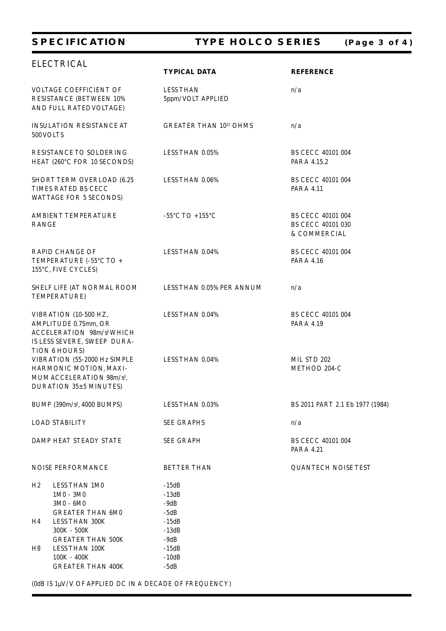### **SPECIFICATION TYPE HOLCO SERIES (Page 3 of 4)**

|                                                                              | <b>ELECTRICAL</b>                                                                                                                      | <b>TYPICAL DATA</b>                    | <b>REFERENCE</b>                                       |
|------------------------------------------------------------------------------|----------------------------------------------------------------------------------------------------------------------------------------|----------------------------------------|--------------------------------------------------------|
| VOLTAGE COEFFICIENT OF<br>RESISTANCE (BETWEEN 10%<br>AND FULL RATED VOLTAGE) |                                                                                                                                        | <b>LESS THAN</b><br>5ppm/VOLT APPLIED  | n/a                                                    |
| 500 VOLTS                                                                    | <b>INSULATION RESISTANCE AT</b>                                                                                                        | <b>GREATER THAN 1012 OHMS</b>          | n/a                                                    |
|                                                                              | RESISTANCE TO SOLDERING<br>HEAT (260°C FOR 10 SECONDS)                                                                                 | LESS THAN 0.05%                        | BS CECC 40101 004<br>PARA 4.15.2                       |
|                                                                              | SHORT TERM OVERLOAD (6.25<br>TIMES RATED BS CECC<br>WATTAGE FOR 5 SECONDS)                                                             | LESS THAN 0.06%                        | BS CECC 40101 004<br>PARA 4.11                         |
| RANGE                                                                        | AMBIENT TEMPERATURE                                                                                                                    | -55°C TO +155°C                        | BS CECC 40101 004<br>BS CECC 40101 030<br>& COMMERCIAL |
|                                                                              | <b>RAPID CHANGE OF</b><br>TEMPERATURE (-55°C TO +<br>155°C, FIVE CYCLES)                                                               | LESS THAN 0.04%                        | BS CECC 40101 004<br>PARA 4.16                         |
|                                                                              | SHELF LIFE (AT NORMAL ROOM<br>TEMPERATURE)                                                                                             | LESS THAN 0.05% PER ANNUM              | n/a                                                    |
|                                                                              | VIBRATION (10-500 HZ,<br>AMPLITUDE 0.75mm, OR<br>ACCELERATION 98m/s <sup>2</sup> WHICH<br>IS LESS SEVERE, SWEEP DURA-<br>TION 6 HOURS) | LESS THAN 0.04%                        | BS CECC 40101 004<br>PARA 4.19                         |
|                                                                              | VIBRATION (55-2000 Hz SIMPLE<br>HARMONIC MOTION, MAXI-<br>MUM ACCELERATION 98m/s <sup>2</sup> ,<br>DURATION 35±5 MINUTES)              | LESS THAN 0.04%                        | MIL STD 202<br>METHOD 204-C                            |
|                                                                              | BUMP (390m/s <sup>2</sup> , 4000 BUMPS)                                                                                                | LESS THAN 0.03%                        | BS 2011 PART 2.1 Eb 1977 (1984)                        |
|                                                                              | <b>LOAD STABILITY</b>                                                                                                                  | <b>SEE GRAPHS</b>                      | n/a                                                    |
|                                                                              | DAMP HEAT STEADY STATE                                                                                                                 | <b>SEE GRAPH</b>                       | BS CECC 40101 004<br>PARA 4.21                         |
|                                                                              | NOISE PERFORMANCE                                                                                                                      | <b>BETTER THAN</b>                     | <b>QUANTECH NOISE TEST</b>                             |
| H <sub>2</sub>                                                               | LESS THAN 1M0<br>$1M0 - 3M0$<br>$3M0 - 6M0$<br><b>GREATER THAN 6M0</b>                                                                 | $-15dB$<br>$-13dB$<br>$-9dB$<br>$-5dB$ |                                                        |
| H4                                                                           | LESS THAN 300K<br>300K - 500K<br><b>GREATER THAN 500K</b>                                                                              | $-15dB$<br>$-13dB$<br>$-9dB$           |                                                        |
| H8                                                                           | LESS THAN 100K<br>$100K - 400K$<br><b>GREATER THAN 400K</b>                                                                            | $-15dB$<br>$-10dB$<br>$-5dB$           |                                                        |

(0dB IS  $1\mu\mathrm{V/V}$  OF APPLIED DC IN A DECADE OF FREQUENCY)